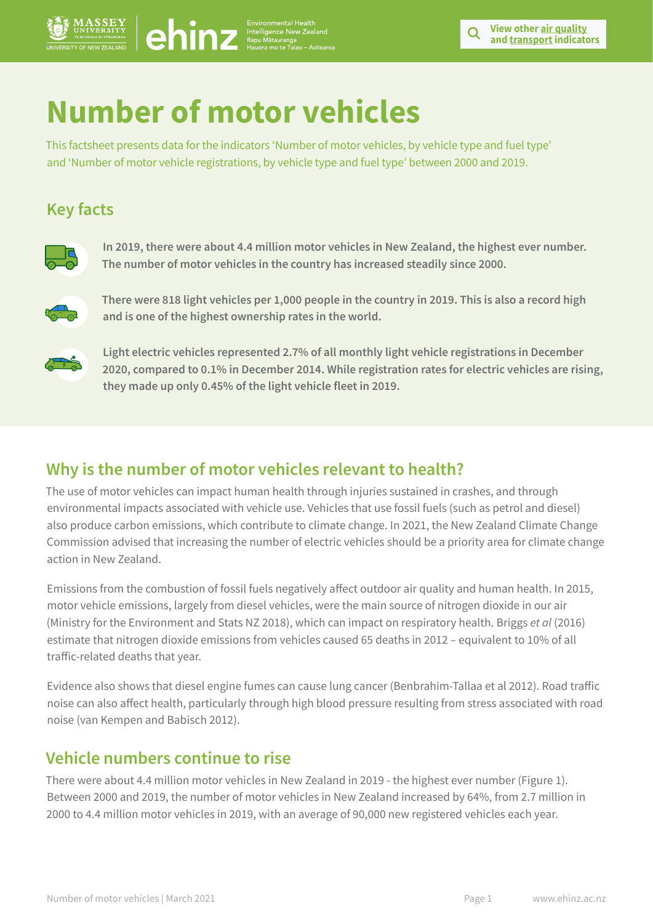

# **Number of motor vehicles**

 $\bigcirc \text{hiv}_\text{Hausawa}$ 

This factsheet presents data for the indicators 'Number of motor vehicles, by vehicle type and fuel type' and 'Number of motor vehicle registrations, by vehicle type and fuel type' between 2000 and 2019.

## **Key facts**



**In 2019, there were about 4.4 million motor vehicles in New Zealand, the highest ever number. The number of motor vehicles in the country has increased steadily since 2000.**



**There were 818 light vehicles per 1,000 people in the country in 2019. This is also a record high and is one of the highest ownership rates in the world.** 



**Light electric vehicles represented 2.7% of all monthly light vehicle registrations in December 2020, compared to 0.1% in December 2014. While registration rates for electric vehicles are rising, they made up only 0.45% of the light vehicle fleet in 2019.**

### **Why is the number of motor vehicles relevant to health?**

The use of motor vehicles can impact human health through injuries sustained in crashes, and through environmental impacts associated with vehicle use. Vehicles that use fossil fuels (such as petrol and diesel) also produce carbon emissions, which contribute to climate change. In 2021, the New Zealand Climate Change Commission advised that increasing the number of electric vehicles should be a priority area for climate change action in New Zealand.

Emissions from the combustion of fossil fuels negatively affect outdoor air quality and human health. In 2015, motor vehicle emissions, largely from diesel vehicles, were the main source of nitrogen dioxide in our air (Ministry for the Environment and Stats NZ 2018), which can impact on respiratory health. Briggs *et al* (2016) estimate that nitrogen dioxide emissions from vehicles caused 65 deaths in 2012 – equivalent to 10% of all traffic-related deaths that year.

Evidence also shows that diesel engine fumes can cause lung cancer (Benbrahim-Tallaa et al 2012). Road traffic noise can also affect health, particularly through high blood pressure resulting from stress associated with road noise (van Kempen and Babisch 2012).

### **Vehicle numbers continue to rise**

There were about 4.4 million motor vehicles in New Zealand in 2019 - the highest ever number (Figure 1). Between 2000 and 2019, the number of motor vehicles in New Zealand increased by 64%, from 2.7 million in 2000 to 4.4 million motor vehicles in 2019, with an average of 90,000 new registered vehicles each year.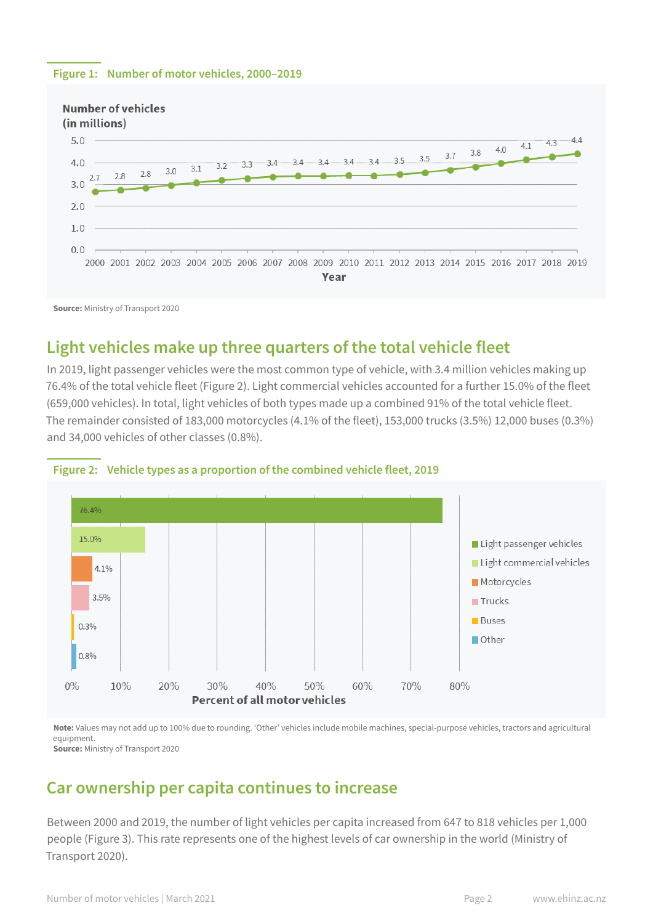#### **Figure 1: Number of motor vehicles, 2000–2019**



**Source:** Ministry of Transport 2020

### **Light vehicles make up three quarters of the total vehicle fleet**

In 2019, light passenger vehicles were the most common type of vehicle, with 3.4 million vehicles making up 76.4% of the total vehicle fleet (Figure 2). Light commercial vehicles accounted for a further 15.0% of the fleet (659,000 vehicles). In total, light vehicles of both types made up a combined 91% of the total vehicle fleet. The remainder consisted of 183,000 motorcycles (4.1% of the fleet), 153,000 trucks (3.5%) 12,000 buses (0.3%) and 34,000 vehicles of other classes (0.8%).



#### **Figure 2: Vehicle types as a proportion of the combined vehicle fleet, 2019**

**Note:** Values may not add up to 100% due to rounding. 'Other' vehicles include mobile machines, special-purpose vehicles, tractors and agricultural equipment. **Source:** Ministry of Transport 2020

### **Car ownership per capita continues to increase**

Between 2000 and 2019, the number of light vehicles per capita increased from 647 to 818 vehicles per 1,000 people (Figure 3). This rate represents one of the highest levels of car ownership in the world (Ministry of Transport 2020).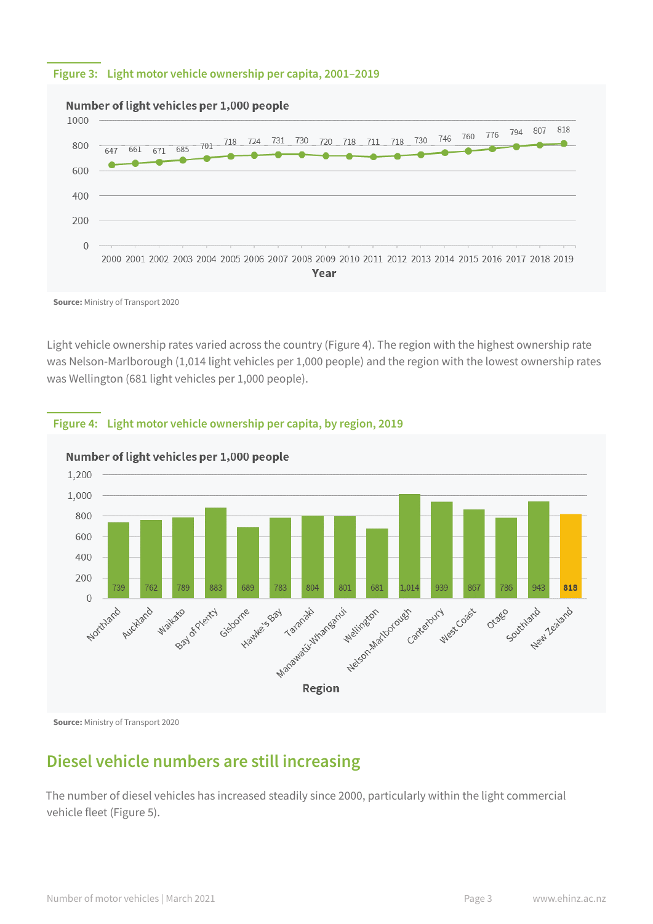#### **Figure 3: Light motor vehicle ownership per capita, 2001–2019**



#### Number of light vehicles per 1,000 people

**Source:** Ministry of Transport 2020

Light vehicle ownership rates varied across the country (Figure 4). The region with the highest ownership rate was Nelson-Marlborough (1,014 light vehicles per 1,000 people) and the region with the lowest ownership rates was Wellington (681 light vehicles per 1,000 people).



**Figure 4: Light motor vehicle ownership per capita, by region, 2019**

**Source:** Ministry of Transport 2020

### **Diesel vehicle numbers are still increasing**

The number of diesel vehicles has increased steadily since 2000, particularly within the light commercial vehicle fleet (Figure 5).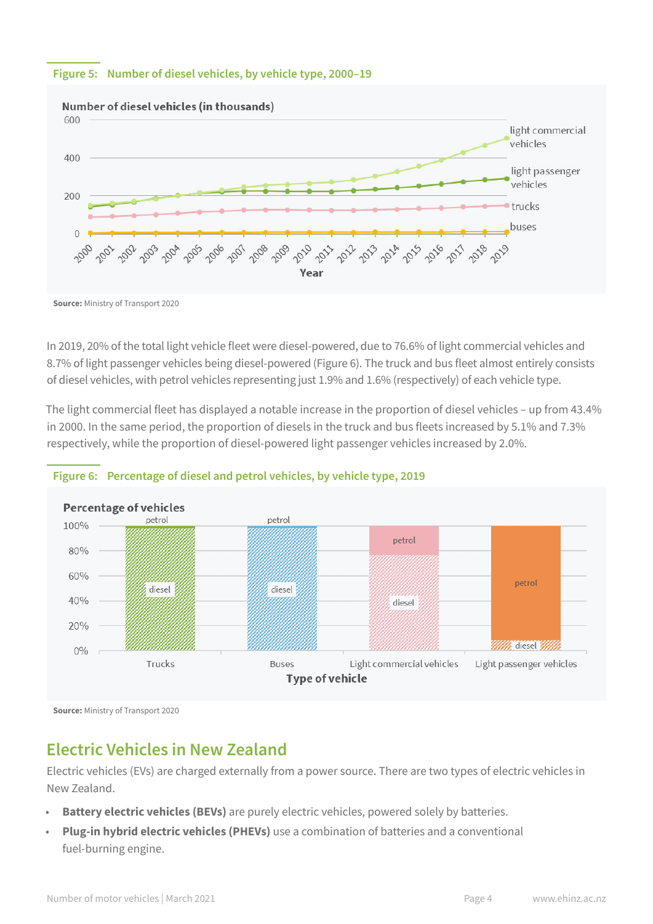#### **Figure 5: Number of diesel vehicles, by vehicle type, 2000–19**



**Source:** Ministry of Transport 2020

In 2019, 20% of the total light vehicle fleet were diesel-powered, due to 76.6% of light commercial vehicles and 8.7% of light passenger vehicles being diesel-powered (Figure 6). The truck and bus fleet almost entirely consists of diesel vehicles, with petrol vehicles representing just 1.9% and 1.6% (respectively) of each vehicle type.

The light commercial fleet has displayed a notable increase in the proportion of diesel vehicles – up from 43.4% in 2000. In the same period, the proportion of diesels in the truck and bus fleets increased by 5.1% and 7.3% respectively, while the proportion of diesel-powered light passenger vehicles increased by 2.0%.



#### **Figure 6: Percentage of diesel and petrol vehicles, by vehicle type, 2019**

**Source:** Ministry of Transport 2020

### **Electric Vehicles in New Zealand**

Electric vehicles (EVs) are charged externally from a power source. There are two types of electric vehicles in New Zealand.

- **Battery electric vehicles (BEVs)** are purely electric vehicles, powered solely by batteries.
- **Plug-in hybrid electric vehicles (PHEVs)** use a combination of batteries and a conventional fuel-burning engine.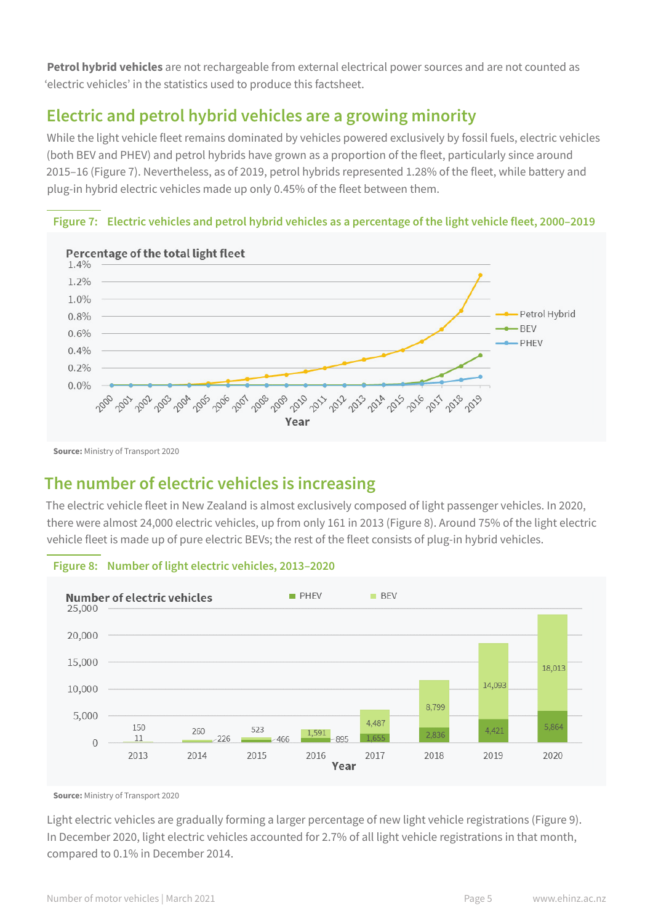**Petrol hybrid vehicles** are not rechargeable from external electrical power sources and are not counted as 'electric vehicles' in the statistics used to produce this factsheet.

### **Electric and petrol hybrid vehicles are a growing minority**

While the light vehicle fleet remains dominated by vehicles powered exclusively by fossil fuels, electric vehicles (both BEV and PHEV) and petrol hybrids have grown as a proportion of the fleet, particularly since around 2015–16 (Figure 7). Nevertheless, as of 2019, petrol hybrids represented 1.28% of the fleet, while battery and plug-in hybrid electric vehicles made up only 0.45% of the fleet between them.



**Figure 7: Electric vehicles and petrol hybrid vehicles as a percentage of the light vehicle fleet, 2000–2019**

**Source:** Ministry of Transport 2020

### **The number of electric vehicles is increasing**

The electric vehicle fleet in New Zealand is almost exclusively composed of light passenger vehicles. In 2020, there were almost 24,000 electric vehicles, up from only 161 in 2013 (Figure 8). Around 75% of the light electric vehicle fleet is made up of pure electric BEVs; the rest of the fleet consists of plug-in hybrid vehicles.



### **Figure 8: Number of light electric vehicles, 2013–2020**

**Source:** Ministry of Transport 2020

Light electric vehicles are gradually forming a larger percentage of new light vehicle registrations (Figure 9). In December 2020, light electric vehicles accounted for 2.7% of all light vehicle registrations in that month, compared to 0.1% in December 2014.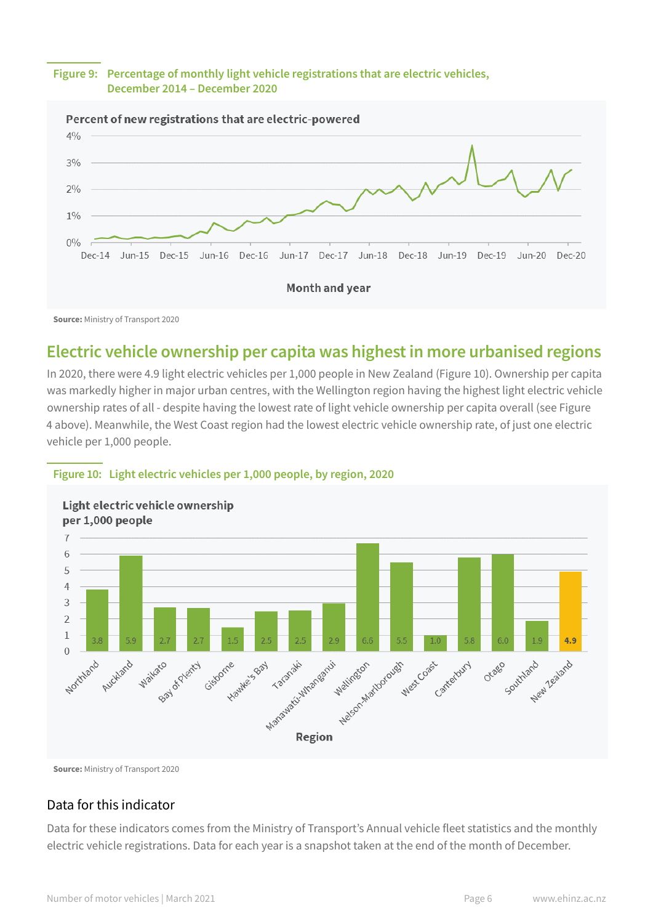#### **Figure 9: Percentage of monthly light vehicle registrations that are electric vehicles, December 2014 – December 2020**



**Source:** Ministry of Transport 2020

### **Electric vehicle ownership per capita was highest in more urbanised regions**

In 2020, there were 4.9 light electric vehicles per 1,000 people in New Zealand (Figure 10). Ownership per capita was markedly higher in major urban centres, with the Wellington region having the highest light electric vehicle ownership rates of all - despite having the lowest rate of light vehicle ownership per capita overall (see Figure 4 above). Meanwhile, the West Coast region had the lowest electric vehicle ownership rate, of just one electric vehicle per 1,000 people.

#### **Figure 10: Light electric vehicles per 1,000 people, by region, 2020**



Light electric vehicle ownership

**Source:** Ministry of Transport 2020

### Data for this indicator

Data for these indicators comes from the Ministry of Transport's Annual vehicle fleet statistics and the monthly electric vehicle registrations. Data for each year is a snapshot taken at the end of the month of December.